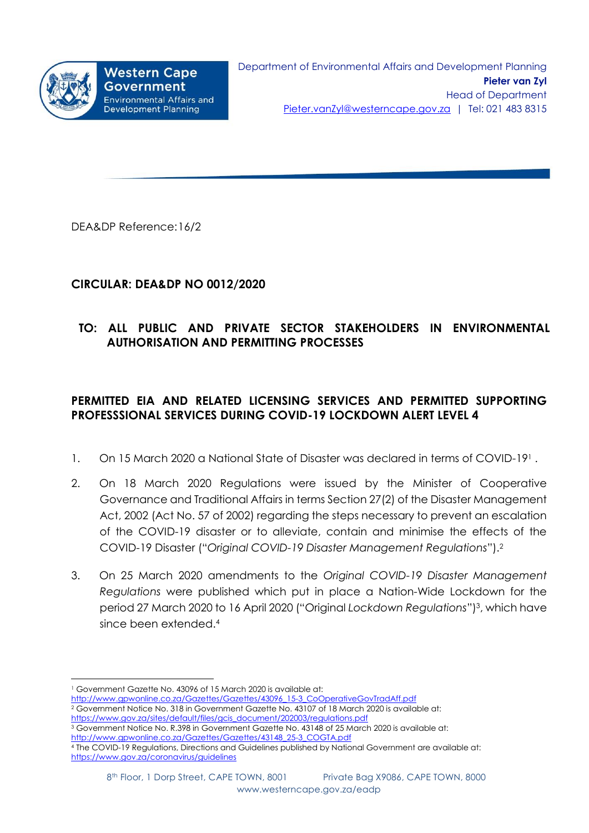

DEA&DP Reference:16/2

## **CIRCULAR: DEA&DP NO 0012/2020**

# **TO: ALL PUBLIC AND PRIVATE SECTOR STAKEHOLDERS IN ENVIRONMENTAL AUTHORISATION AND PERMITTING PROCESSES**

# **PERMITTED EIA AND RELATED LICENSING SERVICES AND PERMITTED SUPPORTING PROFESSSIONAL SERVICES DURING COVID-19 LOCKDOWN ALERT LEVEL 4**

- 1. On 15 March 2020 a National State of Disaster was declared in terms of COVID-191.
- 2. On 18 March 2020 Regulations were issued by the Minister of Cooperative Governance and Traditional Affairs in terms Section 27(2) of the Disaster Management Act, 2002 (Act No. 57 of 2002) regarding the steps necessary to prevent an escalation of the COVID-19 disaster or to alleviate, contain and minimise the effects of the COVID-19 Disaster ("*Original COVID-19 Disaster Management Regulations*").<sup>2</sup>
- 3. On 25 March 2020 amendments to the *Original COVID-19 Disaster Management Regulations* were published which put in place a Nation-Wide Lockdown for the period 27 March 2020 to 16 April 2020 ("Original *Lockdown Regulations*")<sup>3</sup> , which have since been extended. 4

- [http://www.gpwonline.co.za/Gazettes/Gazettes/43096\\_15-3\\_CoOperativeGovTradAff.pdf](http://www.gpwonline.co.za/Gazettes/Gazettes/43096_15-3_CoOperativeGovTradAff.pdf)
- <sup>2</sup> Government Notice No. 318 in Government Gazette No. 43107 of 18 March 2020 is available at: [https://www.gov.za/sites/default/files/gcis\\_document/202003/regulations.pdf](https://www.gov.za/sites/default/files/gcis_document/202003/regulations.pdf)
- <sup>3</sup> Government Notice No. R.398 in Government Gazette No. 43148 of 25 March 2020 is available at: [http://www.gpwonline.co.za/Gazettes/Gazettes/43148\\_25-3\\_COGTA.pdf](http://www.gpwonline.co.za/Gazettes/Gazettes/43148_25-3_COGTA.pdf)

<sup>1</sup> <sup>1</sup> Government Gazette No. 43096 of 15 March 2020 is available at:

<sup>4</sup> The COVID-19 Regulations, Directions and Guidelines published by National Government are available at: <https://www.gov.za/coronavirus/guidelines>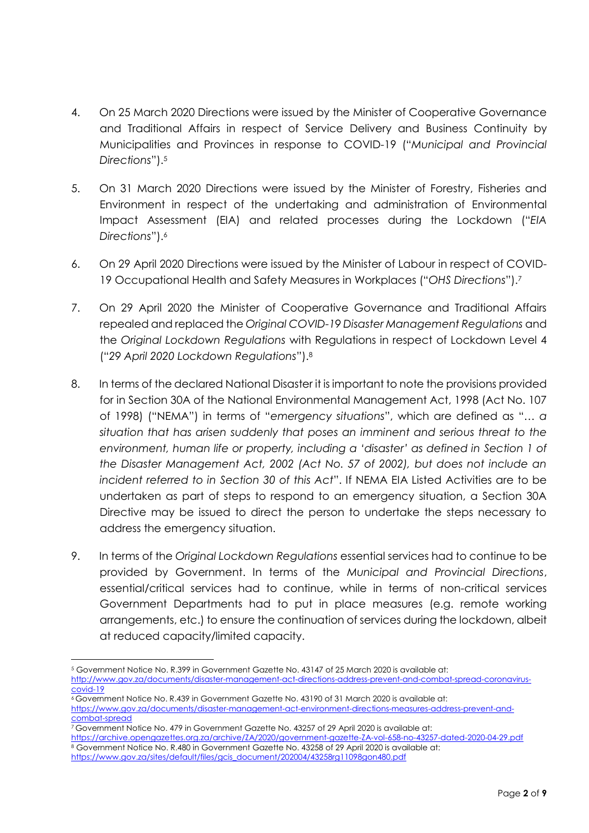- 4. On 25 March 2020 Directions were issued by the Minister of Cooperative Governance and Traditional Affairs in respect of Service Delivery and Business Continuity by Municipalities and Provinces in response to COVID-19 ("*Municipal and Provincial Directions*"). 5
- 5. On 31 March 2020 Directions were issued by the Minister of Forestry, Fisheries and Environment in respect of the undertaking and administration of Environmental Impact Assessment (EIA) and related processes during the Lockdown ("*EIA Directions*"). 6
- 6. On 29 April 2020 Directions were issued by the Minister of Labour in respect of COVID-19 Occupational Health and Safety Measures in Workplaces ("*OHS Directions*").<sup>7</sup>
- 7. On 29 April 2020 the Minister of Cooperative Governance and Traditional Affairs repealed and replaced the *Original COVID-19 Disaster Management Regulations* and the *Original Lockdown Regulations* with Regulations in respect of Lockdown Level 4 ("*29 April 2020 Lockdown Regulations*").<sup>8</sup>
- 8. In terms of the declared National Disaster it is important to note the provisions provided for in Section 30A of the National Environmental Management Act, 1998 (Act No. 107 of 1998) ("NEMA") in terms of "*emergency situations*", which are defined as "… *a situation that has arisen suddenly that poses an imminent and serious threat to the environment, human life or property, including a 'disaster' as defined in Section 1 of the Disaster Management Act, 2002 (Act No. 57 of 2002), but does not include an incident referred to in Section 30 of this Act*". If NEMA EIA Listed Activities are to be undertaken as part of steps to respond to an emergency situation, a Section 30A Directive may be issued to direct the person to undertake the steps necessary to address the emergency situation.
- 9. In terms of the *Original Lockdown Regulations* essential services had to continue to be provided by Government. In terms of the *Municipal and Provincial Directions*, essential/critical services had to continue, while in terms of non-critical services Government Departments had to put in place measures (e.g. remote working arrangements, etc.) to ensure the continuation of services during the lockdown, albeit at reduced capacity/limited capacity.

**<sup>.</sup>** <sup>5</sup> Government Notice No. R.399 in Government Gazette No. 43147 of 25 March 2020 is available at: [http://www.gov.za/documents/disaster-management-act-directions-address-prevent-and-combat-spread-coronavirus](http://www.gov.za/documents/disaster-management-act-directions-address-prevent-and-combat-spread-coronavirus-covid-19)[covid-19](http://www.gov.za/documents/disaster-management-act-directions-address-prevent-and-combat-spread-coronavirus-covid-19)

<sup>6</sup> Government Notice No. R.439 in Government Gazette No. 43190 of 31 March 2020 is available at: [https://www.gov.za/documents/disaster-management-act-environment-directions-measures-address-prevent-and-](https://www.gov.za/documents/disaster-management-act-environment-directions-measures-address-prevent-and-combat-spread)

[combat-spread](https://www.gov.za/documents/disaster-management-act-environment-directions-measures-address-prevent-and-combat-spread)

<sup>7</sup> Government Notice No. 479 in Government Gazette No. 43257 of 29 April 2020 is available at:

<https://archive.opengazettes.org.za/archive/ZA/2020/government-gazette-ZA-vol-658-no-43257-dated-2020-04-29.pdf> <sup>8</sup> Government Notice No. R.480 in Government Gazette No. 43258 of 29 April 2020 is available at:

[https://www.gov.za/sites/default/files/gcis\\_document/202004/43258rg11098gon480.pdf](https://www.gov.za/sites/default/files/gcis_document/202004/43258rg11098gon480.pdf)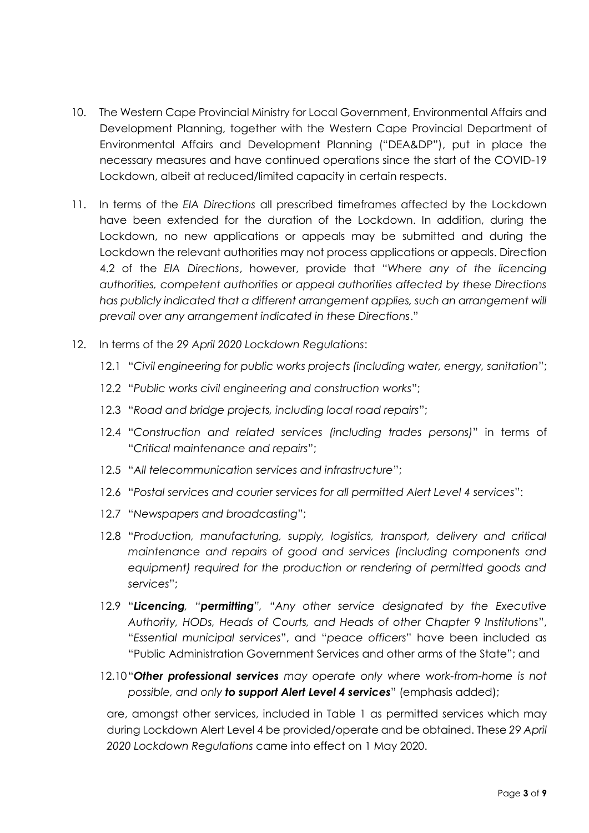- 10. The Western Cape Provincial Ministry for Local Government, Environmental Affairs and Development Planning, together with the Western Cape Provincial Department of Environmental Affairs and Development Planning ("DEA&DP"), put in place the necessary measures and have continued operations since the start of the COVID-19 Lockdown, albeit at reduced/limited capacity in certain respects.
- 11. In terms of the *EIA Directions* all prescribed timeframes affected by the Lockdown have been extended for the duration of the Lockdown. In addition, during the Lockdown, no new applications or appeals may be submitted and during the Lockdown the relevant authorities may not process applications or appeals. Direction 4.2 of the *EIA Directions*, however, provide that "*Where any of the licencing authorities, competent authorities or appeal authorities affected by these Directions has publicly indicated that a different arrangement applies, such an arrangement will prevail over any arrangement indicated in these Directions*."
- 12. In terms of the *29 April 2020 Lockdown Regulations*:
	- 12.1 "*Civil engineering for public works projects (including water, energy, sanitation*";
	- 12.2 "*Public works civil engineering and construction works*";
	- 12.3 "*Road and bridge projects, including local road repairs*";
	- 12.4 "*Construction and related services (including trades persons)*" in terms of "*Critical maintenance and repairs*";
	- 12.5 "*All telecommunication services and infrastructure*";
	- 12.6 "*Postal services and courier services for all permitted Alert Level 4 services*":
	- 12.7 "*Newspapers and broadcasting*";
	- 12.8 "*Production, manufacturing, supply, logistics, transport, delivery and critical maintenance and repairs of good and services (including components and equipment) required for the production or rendering of permitted goods and services*";
	- 12.9 "*Licencing, "permitting",* "*Any other service designated by the Executive Authority, HODs, Heads of Courts, and Heads of other Chapter 9 Institutions*", "*Essential municipal services*", and "*peace officers*" have been included as "Public Administration Government Services and other arms of the State"; and
	- 12.10"*Other professional services may operate only where work-from-home is not possible, and only to support Alert Level 4 services*" (emphasis added);

are, amongst other services, included in Table 1 as permitted services which may during Lockdown Alert Level 4 be provided/operate and be obtained. These *29 April 2020 Lockdown Regulations* came into effect on 1 May 2020.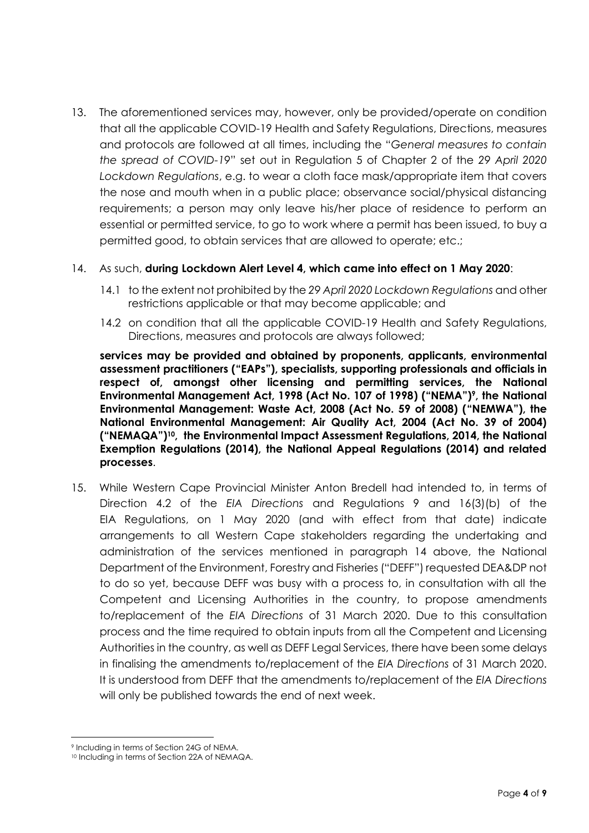13. The aforementioned services may, however, only be provided/operate on condition that all the applicable COVID-19 Health and Safety Regulations, Directions, measures and protocols are followed at all times, including the "*General measures to contain the spread of COVID-19*" set out in Regulation 5 of Chapter 2 of the *29 April 2020 Lockdown Regulations*, e.g. to wear a cloth face mask/appropriate item that covers the nose and mouth when in a public place; observance social/physical distancing requirements; a person may only leave his/her place of residence to perform an essential or permitted service, to go to work where a permit has been issued, to buy a permitted good, to obtain services that are allowed to operate; etc.;

### 14. As such, **during Lockdown Alert Level 4, which came into effect on 1 May 2020**:

- 14.1 to the extent not prohibited by the *29 April 2020 Lockdown Regulations* and other restrictions applicable or that may become applicable; and
- 14.2 on condition that all the applicable COVID-19 Health and Safety Regulations, Directions, measures and protocols are always followed;

**services may be provided and obtained by proponents, applicants, environmental assessment practitioners ("EAPs"), specialists, supporting professionals and officials in respect of, amongst other licensing and permitting services, the National Environmental Management Act, 1998 (Act No. 107 of 1998) ("NEMA") 9 , the National Environmental Management: Waste Act, 2008 (Act No. 59 of 2008) ("NEMWA"), the National Environmental Management: Air Quality Act, 2004 (Act No. 39 of 2004) ("NEMAQA") <sup>10</sup>, the Environmental Impact Assessment Regulations, 2014, the National Exemption Regulations (2014), the National Appeal Regulations (2014) and related processes**.

15. While Western Cape Provincial Minister Anton Bredell had intended to, in terms of Direction 4.2 of the *EIA Directions* and Regulations 9 and 16(3)(b) of the EIA Regulations, on 1 May 2020 (and with effect from that date) indicate arrangements to all Western Cape stakeholders regarding the undertaking and administration of the services mentioned in paragraph 14 above, the National Department of the Environment, Forestry and Fisheries ("DEFF") requested DEA&DP not to do so yet, because DEFF was busy with a process to, in consultation with all the Competent and Licensing Authorities in the country, to propose amendments to/replacement of the *EIA Directions* of 31 March 2020. Due to this consultation process and the time required to obtain inputs from all the Competent and Licensing Authorities in the country, as well as DEFF Legal Services, there have been some delays in finalising the amendments to/replacement of the *EIA Directions* of 31 March 2020. It is understood from DEFF that the amendments to/replacement of the *EIA Directions* will only be published towards the end of next week.

1

<sup>9</sup> Including in terms of Section 24G of NEMA.

<sup>10</sup> Including in terms of Section 22A of NEMAQA.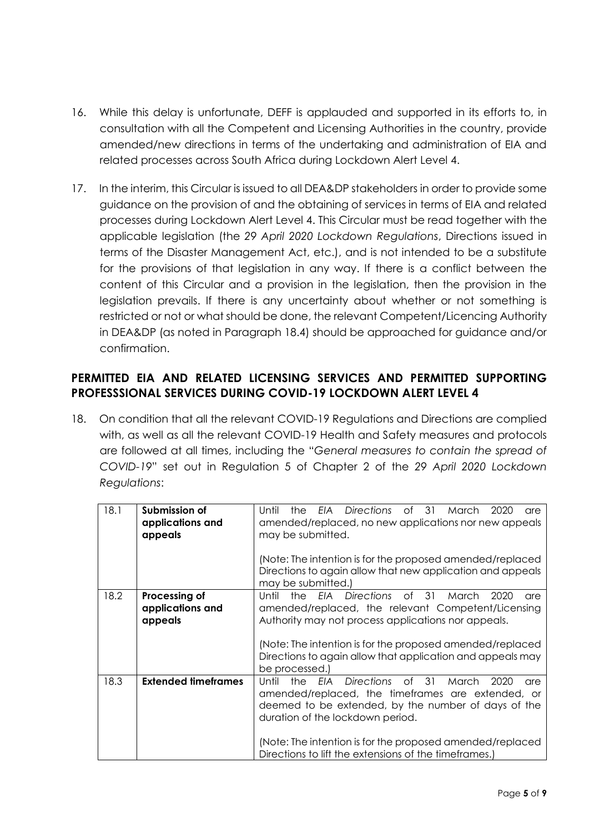- 16. While this delay is unfortunate, DEFF is applauded and supported in its efforts to, in consultation with all the Competent and Licensing Authorities in the country, provide amended/new directions in terms of the undertaking and administration of EIA and related processes across South Africa during Lockdown Alert Level 4.
- 17. In the interim, this Circular is issued to all DEA&DP stakeholders in order to provide some guidance on the provision of and the obtaining of services in terms of EIA and related processes during Lockdown Alert Level 4. This Circular must be read together with the applicable legislation (the *29 April 2020 Lockdown Regulations*, Directions issued in terms of the Disaster Management Act, etc.), and is not intended to be a substitute for the provisions of that legislation in any way. If there is a conflict between the content of this Circular and a provision in the legislation, then the provision in the legislation prevails. If there is any uncertainty about whether or not something is restricted or not or what should be done, the relevant Competent/Licencing Authority in DEA&DP (as noted in Paragraph 18.4) should be approached for guidance and/or confirmation.

## **PERMITTED EIA AND RELATED LICENSING SERVICES AND PERMITTED SUPPORTING PROFESSSIONAL SERVICES DURING COVID-19 LOCKDOWN ALERT LEVEL 4**

18. On condition that all the relevant COVID-19 Regulations and Directions are complied with, as well as all the relevant COVID-19 Health and Safety measures and protocols are followed at all times, including the "*General measures to contain the spread of COVID-19*" set out in Regulation 5 of Chapter 2 of the *29 April 2020 Lockdown Regulations*:

| 18.1 | Submission of<br>applications and<br>appeals | <b>Directions</b><br>Until<br>of $31$<br>FIA<br>March<br>the<br>2020<br>are<br>amended/replaced, no new applications nor new appeals<br>may be submitted.<br>(Note: The intention is for the proposed amended/replaced<br>Directions to again allow that new application and appeals<br>may be submitted.)                                                       |
|------|----------------------------------------------|------------------------------------------------------------------------------------------------------------------------------------------------------------------------------------------------------------------------------------------------------------------------------------------------------------------------------------------------------------------|
| 18.2 | Processing of<br>applications and<br>appeals | <b>FIA</b> Directions<br>of _<br>31<br>2020<br>Until<br>the<br>March<br>are<br>amended/replaced, the relevant Competent/Licensing<br>Authority may not process applications nor appeals.<br>(Note: The intention is for the proposed amended/replaced<br>Directions to again allow that application and appeals may<br>be processed.)                            |
| 18.3 | <b>Extended timeframes</b>                   | <b>Directions</b><br>$\circ$ f<br>31<br><b>FIA</b><br>Until<br>the<br>2020<br>March<br>are<br>amended/replaced, the timeframes are extended, or<br>deemed to be extended, by the number of days of the<br>duration of the lockdown period.<br>(Note: The intention is for the proposed amended/replaced<br>Directions to lift the extensions of the timeframes.) |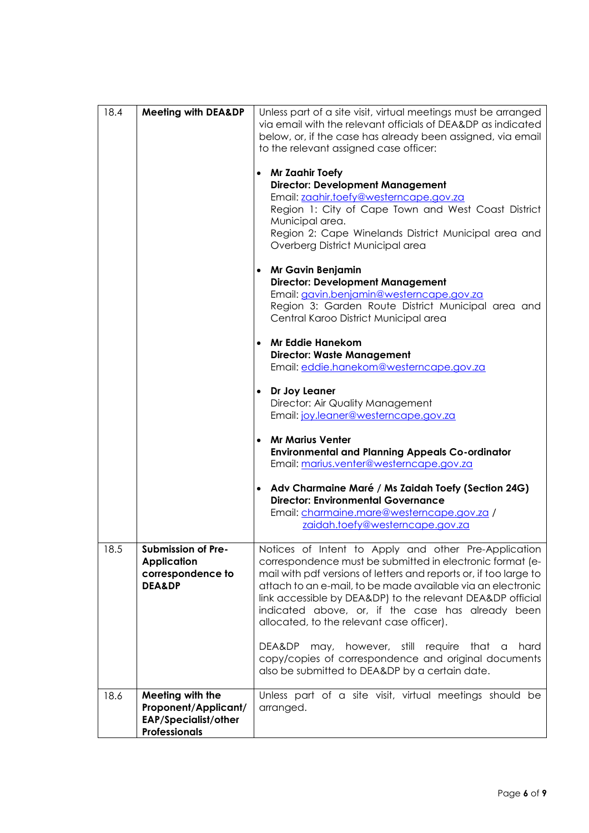| 18.4 | <b>Meeting with DEA&amp;DP</b>                                                                  | Unless part of a site visit, virtual meetings must be arranged<br>via email with the relevant officials of DEA&DP as indicated<br>below, or, if the case has already been assigned, via email                                                                                                                                                                                                                         |
|------|-------------------------------------------------------------------------------------------------|-----------------------------------------------------------------------------------------------------------------------------------------------------------------------------------------------------------------------------------------------------------------------------------------------------------------------------------------------------------------------------------------------------------------------|
|      |                                                                                                 | to the relevant assigned case officer:                                                                                                                                                                                                                                                                                                                                                                                |
|      |                                                                                                 | <b>Mr Zaahir Toefy</b><br>$\bullet$<br><b>Director: Development Management</b><br>Email: zaahir.toefy@westerncape.gov.za                                                                                                                                                                                                                                                                                              |
|      |                                                                                                 | Region 1: City of Cape Town and West Coast District<br>Municipal area.<br>Region 2: Cape Winelands District Municipal area and                                                                                                                                                                                                                                                                                        |
|      |                                                                                                 | Overberg District Municipal area                                                                                                                                                                                                                                                                                                                                                                                      |
|      |                                                                                                 | <b>Mr Gavin Benjamin</b><br>$\bullet$<br><b>Director: Development Management</b><br>Email: gavin.benjamin@westerncape.gov.za<br>Region 3: Garden Route District Municipal area and<br>Central Karoo District Municipal area                                                                                                                                                                                           |
|      |                                                                                                 | <b>Mr Eddie Hanekom</b><br>$\bullet$<br><b>Director: Waste Management</b><br>Email: eddie.hanekom@westerncape.gov.za                                                                                                                                                                                                                                                                                                  |
|      |                                                                                                 | Dr Joy Leaner<br>$\bullet$<br>Director: Air Quality Management<br>Email: joy.leaner@westerncape.gov.za                                                                                                                                                                                                                                                                                                                |
|      |                                                                                                 | <b>Mr Marius Venter</b><br>$\bullet$<br><b>Environmental and Planning Appeals Co-ordinator</b><br>Email: marius.venter@westerncape.gov.za                                                                                                                                                                                                                                                                             |
|      |                                                                                                 | Adv Charmaine Maré / Ms Zaidah Toefy (Section 24G)<br><b>Director: Environmental Governance</b>                                                                                                                                                                                                                                                                                                                       |
|      |                                                                                                 | Email: charmaine.mare@westerncape.gov.za /<br>zaidah.toefy@westerncape.gov.za                                                                                                                                                                                                                                                                                                                                         |
| 18.5 | Submission of Pre-<br><b>Application</b><br>correspondence to<br><b>DEA&amp;DP</b>              | Notices of Intent to Apply and other Pre-Application<br>correspondence must be submitted in electronic format (e-<br>mail with pdf versions of letters and reports or, if too large to<br>attach to an e-mail, to be made available via an electronic<br>link accessible by DEA&DP) to the relevant DEA&DP official<br>indicated above, or, if the case has already been<br>allocated, to the relevant case officer). |
|      |                                                                                                 | however, still<br>hard<br>DEA&DP may,<br>require<br>that<br>a<br>copy/copies of correspondence and original documents<br>also be submitted to DEA&DP by a certain date.                                                                                                                                                                                                                                               |
| 18.6 | Meeting with the<br>Proponent/Applicant/<br><b>EAP/Specialist/other</b><br><b>Professionals</b> | Unless part of a site visit, virtual meetings should be<br>arranged.                                                                                                                                                                                                                                                                                                                                                  |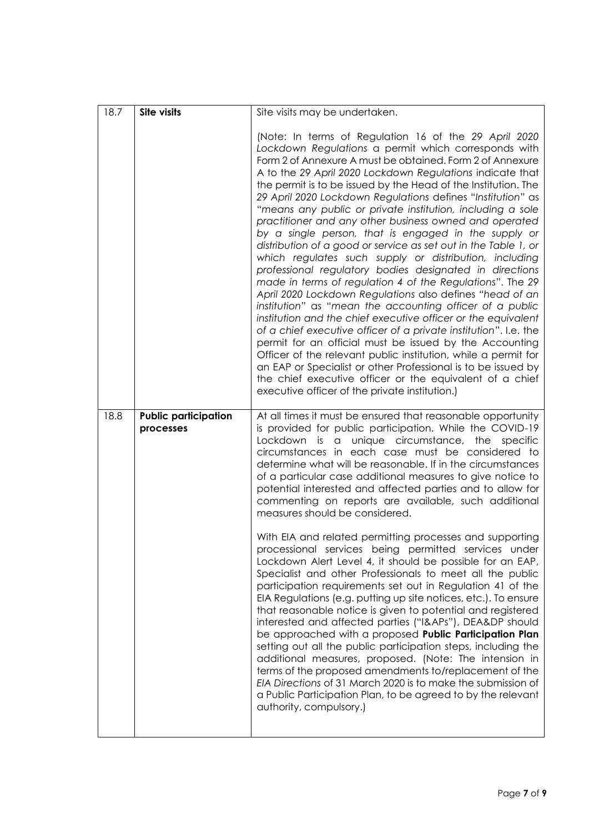| 18.7 | Site visits                              | Site visits may be undertaken.                                                                                                                                                                                                                                                                                                                                                                                                                                                                                                                                                                                                                                                                                                                                                                                                                                                                                                                                                                                                                                                                                                                                                                                                                                                                                                                                                         |
|------|------------------------------------------|----------------------------------------------------------------------------------------------------------------------------------------------------------------------------------------------------------------------------------------------------------------------------------------------------------------------------------------------------------------------------------------------------------------------------------------------------------------------------------------------------------------------------------------------------------------------------------------------------------------------------------------------------------------------------------------------------------------------------------------------------------------------------------------------------------------------------------------------------------------------------------------------------------------------------------------------------------------------------------------------------------------------------------------------------------------------------------------------------------------------------------------------------------------------------------------------------------------------------------------------------------------------------------------------------------------------------------------------------------------------------------------|
|      |                                          | (Note: In terms of Regulation 16 of the 29 April 2020<br>Lockdown Regulations a permit which corresponds with<br>Form 2 of Annexure A must be obtained. Form 2 of Annexure<br>A to the 29 April 2020 Lockdown Regulations indicate that<br>the permit is to be issued by the Head of the Institution. The<br>29 April 2020 Lockdown Regulations defines "Institution" as<br>"means any public or private institution, including a sole<br>practitioner and any other business owned and operated<br>by a single person, that is engaged in the supply or<br>distribution of a good or service as set out in the Table 1, or<br>which regulates such supply or distribution, including<br>professional regulatory bodies designated in directions<br>made in terms of regulation 4 of the Regulations". The 29<br>April 2020 Lockdown Regulations also defines "head of an<br>institution" as "mean the accounting officer of a public<br>institution and the chief executive officer or the equivalent<br>of a chief executive officer of a private institution". I.e. the<br>permit for an official must be issued by the Accounting<br>Officer of the relevant public institution, while a permit for<br>an EAP or Specialist or other Professional is to be issued by<br>the chief executive officer or the equivalent of a chief<br>executive officer of the private institution.) |
| 18.8 | <b>Public participation</b><br>processes | At all times it must be ensured that reasonable opportunity<br>is provided for public participation. While the COVID-19<br>Lockdown<br>is a unique circumstance, the specific<br>circumstances in each case must be considered to<br>determine what will be reasonable. If in the circumstances<br>of a particular case additional measures to give notice to<br>potential interested and affected parties and to allow for<br>commenting on reports are available, such additional<br>measures should be considered.                                                                                                                                                                                                                                                                                                                                                                                                                                                                                                                                                                                                                                                                                                                                                                                                                                                                  |
|      |                                          | With EIA and related permitting processes and supporting<br>processional services being permitted services under<br>Lockdown Alert Level 4, it should be possible for an EAP,<br>Specialist and other Professionals to meet all the public<br>participation requirements set out in Regulation 41 of the<br>EIA Regulations (e.g. putting up site notices, etc.). To ensure<br>that reasonable notice is given to potential and registered<br>interested and affected parties ("I&APs"), DEA&DP should<br>be approached with a proposed Public Participation Plan<br>setting out all the public participation steps, including the<br>additional measures, proposed. (Note: The intension in<br>terms of the proposed amendments to/replacement of the<br>EIA Directions of 31 March 2020 is to make the submission of<br>a Public Participation Plan, to be agreed to by the relevant<br>authority, compulsory.)                                                                                                                                                                                                                                                                                                                                                                                                                                                                      |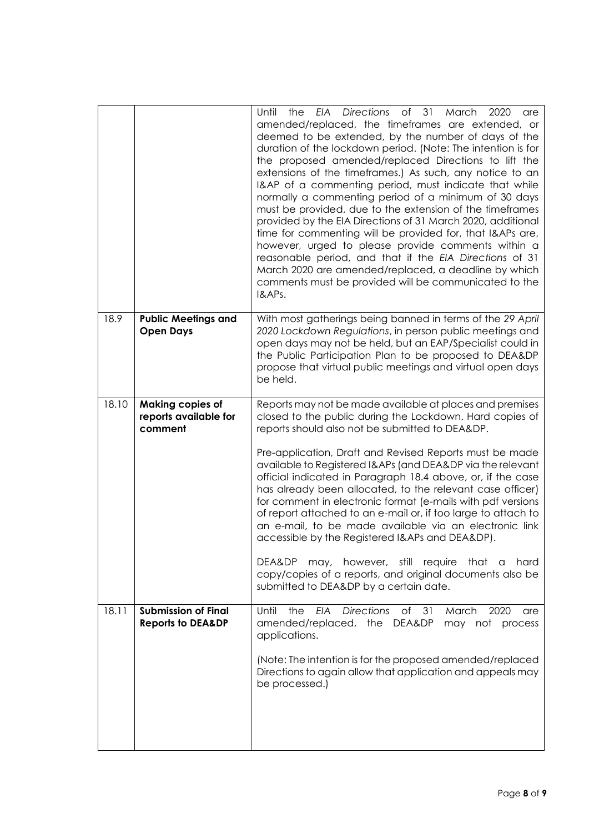|       |                                                             | Directions<br>of<br>31<br>Until<br>the<br>EIA<br>March<br>2020<br>are<br>amended/replaced, the timeframes are extended, or<br>deemed to be extended, by the number of days of the<br>duration of the lockdown period. (Note: The intention is for<br>the proposed amended/replaced Directions to lift the<br>extensions of the timeframes.) As such, any notice to an<br>I&AP of a commenting period, must indicate that while<br>normally a commenting period of a minimum of 30 days<br>must be provided, due to the extension of the timeframes<br>provided by the EIA Directions of 31 March 2020, additional<br>time for commenting will be provided for, that I&APs are,<br>however, urged to please provide comments within a<br>reasonable period, and that if the EIA Directions of 31<br>March 2020 are amended/replaced, a deadline by which<br>comments must be provided will be communicated to the<br>I&APs. |
|-------|-------------------------------------------------------------|----------------------------------------------------------------------------------------------------------------------------------------------------------------------------------------------------------------------------------------------------------------------------------------------------------------------------------------------------------------------------------------------------------------------------------------------------------------------------------------------------------------------------------------------------------------------------------------------------------------------------------------------------------------------------------------------------------------------------------------------------------------------------------------------------------------------------------------------------------------------------------------------------------------------------|
| 18.9  | <b>Public Meetings and</b><br><b>Open Days</b>              | With most gatherings being banned in terms of the 29 April<br>2020 Lockdown Regulations, in person public meetings and<br>open days may not be held, but an EAP/Specialist could in<br>the Public Participation Plan to be proposed to DEA&DP<br>propose that virtual public meetings and virtual open days<br>be held.                                                                                                                                                                                                                                                                                                                                                                                                                                                                                                                                                                                                    |
| 18.10 | <b>Making copies of</b><br>reports available for<br>comment | Reports may not be made available at places and premises<br>closed to the public during the Lockdown. Hard copies of<br>reports should also not be submitted to DEA&DP.<br>Pre-application, Draft and Revised Reports must be made<br>available to Registered I&APs (and DEA&DP via the relevant<br>official indicated in Paragraph 18.4 above, or, if the case<br>has already been allocated, to the relevant case officer)<br>for comment in electronic format (e-mails with pdf versions<br>of report attached to an e-mail or, if too large to attach to<br>an e-mail, to be made available via an electronic link<br>accessible by the Registered I&APs and DEA&DP).<br>DEA&DP<br>may, however, still require<br>that a<br>hard<br>copy/copies of a reports, and original documents also be<br>submitted to DEA&DP by a certain date.                                                                                 |
| 18.11 | <b>Submission of Final</b><br><b>Reports to DEA&amp;DP</b>  | <b>Directions</b><br>of<br>31<br>Until<br>EIA<br>March<br>2020<br>the<br>are<br>amended/replaced, the DEA&DP<br>may not process<br>applications.<br>(Note: The intention is for the proposed amended/replaced<br>Directions to again allow that application and appeals may<br>be processed.)                                                                                                                                                                                                                                                                                                                                                                                                                                                                                                                                                                                                                              |